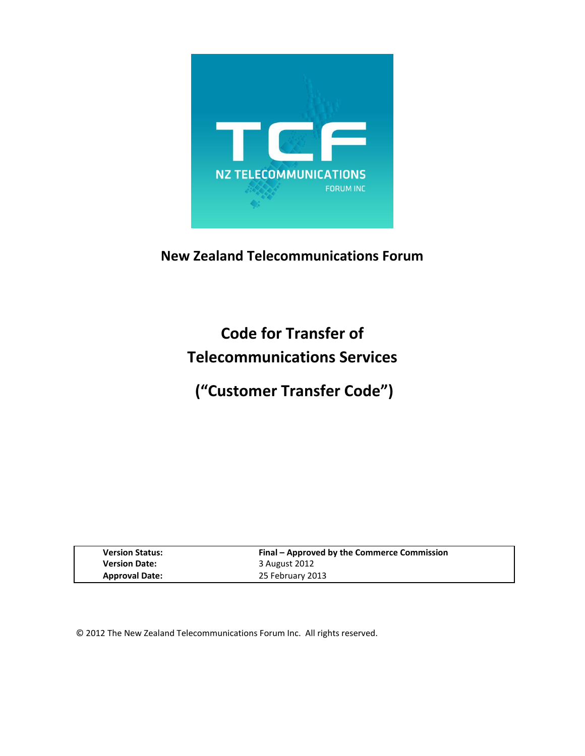

# **New Zealand Telecommunications Forum**

**Code for Transfer of Telecommunications Services**

**("Customer Transfer Code")**

| <b>Version Status:</b> | Final – Approved by the Commerce Commission |
|------------------------|---------------------------------------------|
| <b>Version Date:</b>   | 3 August 2012                               |
| <b>Approval Date:</b>  | 25 February 2013                            |

© 2012 The New Zealand Telecommunications Forum Inc. All rights reserved.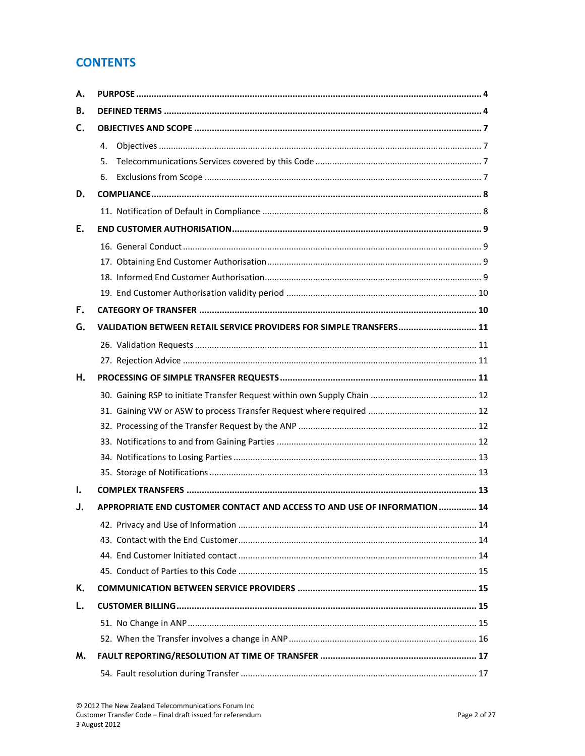# **CONTENTS**

| А.             |                                                                           |  |  |
|----------------|---------------------------------------------------------------------------|--|--|
| В.             |                                                                           |  |  |
| $\mathsf{C}$ . |                                                                           |  |  |
|                | 4.                                                                        |  |  |
|                | 5.                                                                        |  |  |
|                | 6.                                                                        |  |  |
| D.             |                                                                           |  |  |
|                |                                                                           |  |  |
| Е.             |                                                                           |  |  |
|                |                                                                           |  |  |
|                |                                                                           |  |  |
|                |                                                                           |  |  |
|                |                                                                           |  |  |
| F.             |                                                                           |  |  |
| G.             | VALIDATION BETWEEN RETAIL SERVICE PROVIDERS FOR SIMPLE TRANSFERS 11       |  |  |
|                |                                                                           |  |  |
|                |                                                                           |  |  |
| Η.             |                                                                           |  |  |
|                |                                                                           |  |  |
|                |                                                                           |  |  |
|                |                                                                           |  |  |
|                |                                                                           |  |  |
|                |                                                                           |  |  |
|                |                                                                           |  |  |
| Ι.             |                                                                           |  |  |
| J.             | APPROPRIATE END CUSTOMER CONTACT AND ACCESS TO AND USE OF INFORMATION  14 |  |  |
|                |                                                                           |  |  |
|                |                                                                           |  |  |
|                |                                                                           |  |  |
|                |                                                                           |  |  |
| Κ.             |                                                                           |  |  |
| L.             |                                                                           |  |  |
|                |                                                                           |  |  |
|                |                                                                           |  |  |
| М.             |                                                                           |  |  |
|                |                                                                           |  |  |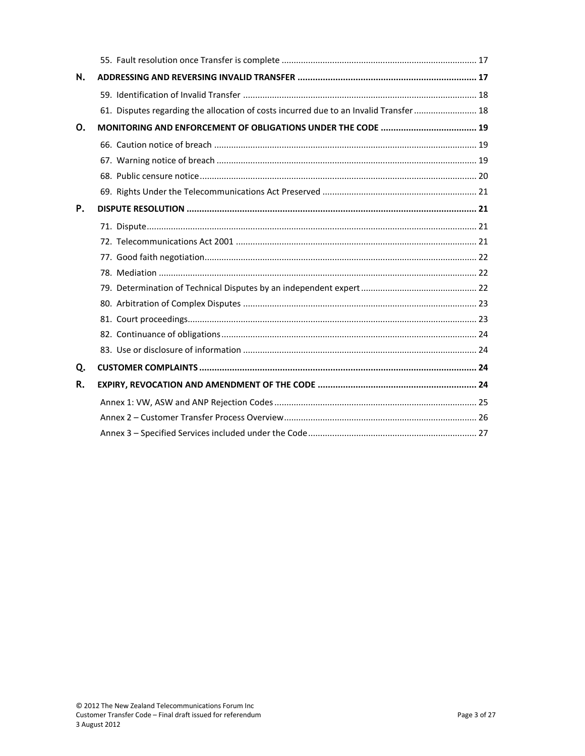| N. |                                                                                        |  |
|----|----------------------------------------------------------------------------------------|--|
|    |                                                                                        |  |
|    | 61. Disputes regarding the allocation of costs incurred due to an Invalid Transfer  18 |  |
| 0. |                                                                                        |  |
|    |                                                                                        |  |
|    |                                                                                        |  |
|    |                                                                                        |  |
|    |                                                                                        |  |
| P. |                                                                                        |  |
|    |                                                                                        |  |
|    |                                                                                        |  |
|    |                                                                                        |  |
|    |                                                                                        |  |
|    |                                                                                        |  |
|    |                                                                                        |  |
|    |                                                                                        |  |
|    |                                                                                        |  |
|    |                                                                                        |  |
| Q. |                                                                                        |  |
| R. |                                                                                        |  |
|    |                                                                                        |  |
|    |                                                                                        |  |
|    |                                                                                        |  |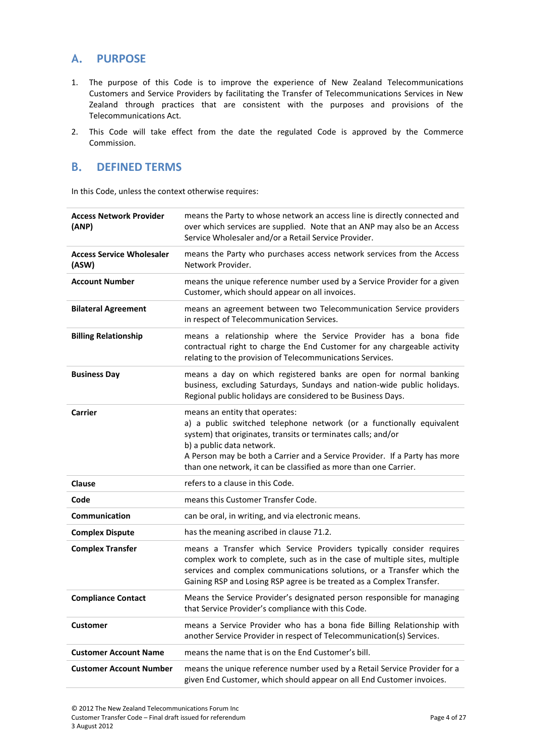# <span id="page-3-0"></span>**A. PURPOSE**

- 1. The purpose of this Code is to improve the experience of New Zealand Telecommunications Customers and Service Providers by facilitating the Transfer of Telecommunications Services in New Zealand through practices that are consistent with the purposes and provisions of the Telecommunications Act.
- <span id="page-3-1"></span>2. This Code will take effect from the date the regulated Code is approved by the Commerce Commission.

# **B. DEFINED TERMS**

In this Code, unless the context otherwise requires:

| <b>Access Network Provider</b><br>(ANP)   | means the Party to whose network an access line is directly connected and<br>over which services are supplied. Note that an ANP may also be an Access<br>Service Wholesaler and/or a Retail Service Provider.                                                                                                                                          |
|-------------------------------------------|--------------------------------------------------------------------------------------------------------------------------------------------------------------------------------------------------------------------------------------------------------------------------------------------------------------------------------------------------------|
| <b>Access Service Wholesaler</b><br>(ASW) | means the Party who purchases access network services from the Access<br>Network Provider.                                                                                                                                                                                                                                                             |
| <b>Account Number</b>                     | means the unique reference number used by a Service Provider for a given<br>Customer, which should appear on all invoices.                                                                                                                                                                                                                             |
| <b>Bilateral Agreement</b>                | means an agreement between two Telecommunication Service providers<br>in respect of Telecommunication Services.                                                                                                                                                                                                                                        |
| <b>Billing Relationship</b>               | means a relationship where the Service Provider has a bona fide<br>contractual right to charge the End Customer for any chargeable activity<br>relating to the provision of Telecommunications Services.                                                                                                                                               |
| <b>Business Day</b>                       | means a day on which registered banks are open for normal banking<br>business, excluding Saturdays, Sundays and nation-wide public holidays.<br>Regional public holidays are considered to be Business Days.                                                                                                                                           |
| <b>Carrier</b>                            | means an entity that operates:<br>a) a public switched telephone network (or a functionally equivalent<br>system) that originates, transits or terminates calls; and/or<br>b) a public data network.<br>A Person may be both a Carrier and a Service Provider. If a Party has more<br>than one network, it can be classified as more than one Carrier. |
| <b>Clause</b>                             | refers to a clause in this Code.                                                                                                                                                                                                                                                                                                                       |
| Code                                      | means this Customer Transfer Code.                                                                                                                                                                                                                                                                                                                     |
| Communication                             | can be oral, in writing, and via electronic means.                                                                                                                                                                                                                                                                                                     |
| <b>Complex Dispute</b>                    | has the meaning ascribed in clause 71.2.                                                                                                                                                                                                                                                                                                               |
| <b>Complex Transfer</b>                   | means a Transfer which Service Providers typically consider requires<br>complex work to complete, such as in the case of multiple sites, multiple<br>services and complex communications solutions, or a Transfer which the<br>Gaining RSP and Losing RSP agree is be treated as a Complex Transfer.                                                   |
| <b>Compliance Contact</b>                 | Means the Service Provider's designated person responsible for managing<br>that Service Provider's compliance with this Code.                                                                                                                                                                                                                          |
| <b>Customer</b>                           | means a Service Provider who has a bona fide Billing Relationship with<br>another Service Provider in respect of Telecommunication(s) Services.                                                                                                                                                                                                        |
| <b>Customer Account Name</b>              | means the name that is on the End Customer's bill.                                                                                                                                                                                                                                                                                                     |
| <b>Customer Account Number</b>            | means the unique reference number used by a Retail Service Provider for a<br>given End Customer, which should appear on all End Customer invoices.                                                                                                                                                                                                     |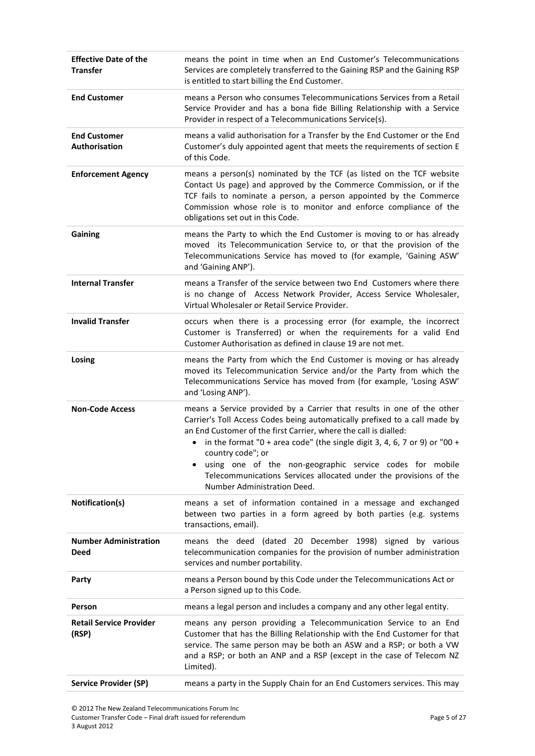| <b>Effective Date of the</b><br><b>Transfer</b> | means the point in time when an End Customer's Telecommunications<br>Services are completely transferred to the Gaining RSP and the Gaining RSP<br>is entitled to start billing the End Customer.                                                                                                                                                                                                                                                                                                       |  |
|-------------------------------------------------|---------------------------------------------------------------------------------------------------------------------------------------------------------------------------------------------------------------------------------------------------------------------------------------------------------------------------------------------------------------------------------------------------------------------------------------------------------------------------------------------------------|--|
| <b>End Customer</b>                             | means a Person who consumes Telecommunications Services from a Retail<br>Service Provider and has a bona fide Billing Relationship with a Service<br>Provider in respect of a Telecommunications Service(s).                                                                                                                                                                                                                                                                                            |  |
| <b>End Customer</b><br>Authorisation            | means a valid authorisation for a Transfer by the End Customer or the End<br>Customer's duly appointed agent that meets the requirements of section E<br>of this Code.                                                                                                                                                                                                                                                                                                                                  |  |
| <b>Enforcement Agency</b>                       | means a person(s) nominated by the TCF (as listed on the TCF website<br>Contact Us page) and approved by the Commerce Commission, or if the<br>TCF fails to nominate a person, a person appointed by the Commerce<br>Commission whose role is to monitor and enforce compliance of the<br>obligations set out in this Code.                                                                                                                                                                             |  |
| Gaining                                         | means the Party to which the End Customer is moving to or has already<br>moved its Telecommunication Service to, or that the provision of the<br>Telecommunications Service has moved to (for example, 'Gaining ASW'<br>and 'Gaining ANP').                                                                                                                                                                                                                                                             |  |
| <b>Internal Transfer</b>                        | means a Transfer of the service between two End Customers where there<br>is no change of Access Network Provider, Access Service Wholesaler,<br>Virtual Wholesaler or Retail Service Provider.                                                                                                                                                                                                                                                                                                          |  |
| <b>Invalid Transfer</b>                         | occurs when there is a processing error (for example, the incorrect<br>Customer is Transferred) or when the requirements for a valid End<br>Customer Authorisation as defined in clause 19 are not met.                                                                                                                                                                                                                                                                                                 |  |
| Losing                                          | means the Party from which the End Customer is moving or has already<br>moved its Telecommunication Service and/or the Party from which the<br>Telecommunications Service has moved from (for example, 'Losing ASW'<br>and 'Losing ANP').                                                                                                                                                                                                                                                               |  |
| <b>Non-Code Access</b>                          | means a Service provided by a Carrier that results in one of the other<br>Carrier's Toll Access Codes being automatically prefixed to a call made by<br>an End Customer of the first Carrier, where the call is dialled:<br>in the format "0 + area code" (the single digit 3, 4, 6, 7 or 9) or "00 +<br>$\bullet$<br>country code"; or<br>using one of the non-geographic service codes for mobile<br>Telecommunications Services allocated under the provisions of the<br>Number Administration Deed. |  |
| Notification(s)                                 | means a set of information contained in a message and exchanged<br>between two parties in a form agreed by both parties (e.g. systems<br>transactions, email).                                                                                                                                                                                                                                                                                                                                          |  |
| <b>Number Administration</b><br><b>Deed</b>     | means the deed (dated 20 December 1998) signed by various<br>telecommunication companies for the provision of number administration<br>services and number portability.                                                                                                                                                                                                                                                                                                                                 |  |
| Party                                           | means a Person bound by this Code under the Telecommunications Act or<br>a Person signed up to this Code.                                                                                                                                                                                                                                                                                                                                                                                               |  |
| Person                                          | means a legal person and includes a company and any other legal entity.                                                                                                                                                                                                                                                                                                                                                                                                                                 |  |
| <b>Retail Service Provider</b><br>(RSP)         | means any person providing a Telecommunication Service to an End<br>Customer that has the Billing Relationship with the End Customer for that<br>service. The same person may be both an ASW and a RSP; or both a VW<br>and a RSP; or both an ANP and a RSP (except in the case of Telecom NZ<br>Limited).                                                                                                                                                                                              |  |
| <b>Service Provider (SP)</b>                    | means a party in the Supply Chain for an End Customers services. This may                                                                                                                                                                                                                                                                                                                                                                                                                               |  |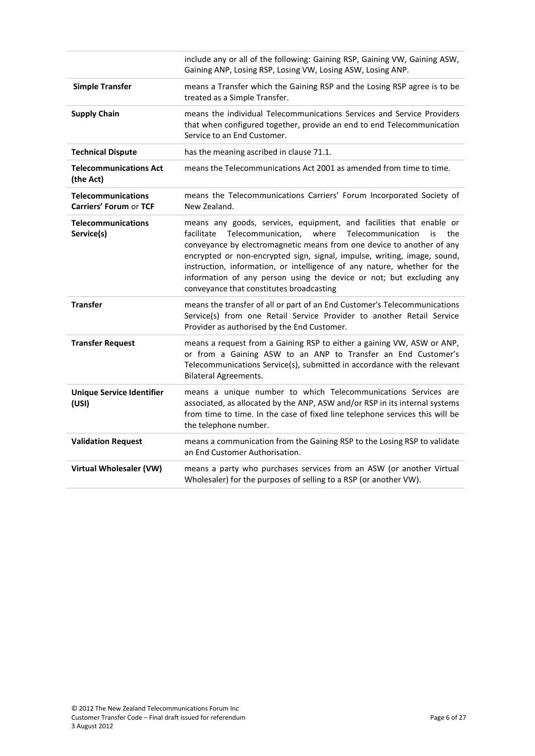|                                                            | include any or all of the following: Gaining RSP, Gaining VW, Gaining ASW,<br>Gaining ANP, Losing RSP, Losing VW, Losing ASW, Losing ANP.                                                                                                                                                                                                                                                                                                                                                               |
|------------------------------------------------------------|---------------------------------------------------------------------------------------------------------------------------------------------------------------------------------------------------------------------------------------------------------------------------------------------------------------------------------------------------------------------------------------------------------------------------------------------------------------------------------------------------------|
| <b>Simple Transfer</b>                                     | means a Transfer which the Gaining RSP and the Losing RSP agree is to be<br>treated as a Simple Transfer.                                                                                                                                                                                                                                                                                                                                                                                               |
| <b>Supply Chain</b>                                        | means the individual Telecommunications Services and Service Providers<br>that when configured together, provide an end to end Telecommunication<br>Service to an End Customer.                                                                                                                                                                                                                                                                                                                         |
| <b>Technical Dispute</b>                                   | has the meaning ascribed in clause 71.1.                                                                                                                                                                                                                                                                                                                                                                                                                                                                |
| <b>Telecommunications Act</b><br>(the Act)                 | means the Telecommunications Act 2001 as amended from time to time.                                                                                                                                                                                                                                                                                                                                                                                                                                     |
| <b>Telecommunications</b><br><b>Carriers' Forum or TCF</b> | means the Telecommunications Carriers' Forum Incorporated Society of<br>New Zealand.                                                                                                                                                                                                                                                                                                                                                                                                                    |
| <b>Telecommunications</b><br>Service(s)                    | means any goods, services, equipment, and facilities that enable or<br>where<br>facilitate<br>Telecommunication,<br>Telecommunication<br>is<br>the<br>conveyance by electromagnetic means from one device to another of any<br>encrypted or non-encrypted sign, signal, impulse, writing, image, sound,<br>instruction, information, or intelligence of any nature, whether for the<br>information of any person using the device or not; but excluding any<br>conveyance that constitutes broadcasting |
| <b>Transfer</b>                                            | means the transfer of all or part of an End Customer's Telecommunications<br>Service(s) from one Retail Service Provider to another Retail Service<br>Provider as authorised by the End Customer.                                                                                                                                                                                                                                                                                                       |
| <b>Transfer Request</b>                                    | means a request from a Gaining RSP to either a gaining VW, ASW or ANP,<br>or from a Gaining ASW to an ANP to Transfer an End Customer's<br>Telecommunications Service(s), submitted in accordance with the relevant<br><b>Bilateral Agreements.</b>                                                                                                                                                                                                                                                     |
| <b>Unique Service Identifier</b><br>(USI)                  | means a unique number to which Telecommunications Services are<br>associated, as allocated by the ANP, ASW and/or RSP in its internal systems<br>from time to time. In the case of fixed line telephone services this will be<br>the telephone number.                                                                                                                                                                                                                                                  |
| <b>Validation Request</b>                                  | means a communication from the Gaining RSP to the Losing RSP to validate<br>an End Customer Authorisation.                                                                                                                                                                                                                                                                                                                                                                                              |
| Virtual Wholesaler (VW)                                    | means a party who purchases services from an ASW (or another Virtual<br>Wholesaler) for the purposes of selling to a RSP (or another VW).                                                                                                                                                                                                                                                                                                                                                               |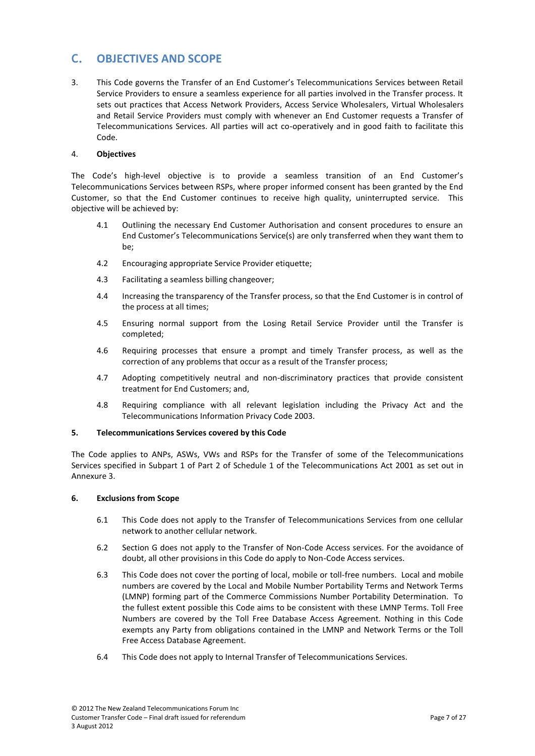# <span id="page-6-0"></span>**C. OBJECTIVES AND SCOPE**

<span id="page-6-1"></span>3. This Code governs the Transfer of an End Customer's Telecommunications Services between Retail Service Providers to ensure a seamless experience for all parties involved in the Transfer process. It sets out practices that Access Network Providers, Access Service Wholesalers, Virtual Wholesalers and Retail Service Providers must comply with whenever an End Customer requests a Transfer of Telecommunications Services. All parties will act co-operatively and in good faith to facilitate this Code.

# 4. **Objectives**

The Code's high-level objective is to provide a seamless transition of an End Customer's Telecommunications Services between RSPs, where proper informed consent has been granted by the End Customer, so that the End Customer continues to receive high quality, uninterrupted service. This objective will be achieved by:

- 4.1 Outlining the necessary End Customer Authorisation and consent procedures to ensure an End Customer's Telecommunications Service(s) are only transferred when they want them to be;
- 4.2 Encouraging appropriate Service Provider etiquette;
- 4.3 Facilitating a seamless billing changeover;
- 4.4 Increasing the transparency of the Transfer process, so that the End Customer is in control of the process at all times;
- 4.5 Ensuring normal support from the Losing Retail Service Provider until the Transfer is completed;
- 4.6 Requiring processes that ensure a prompt and timely Transfer process, as well as the correction of any problems that occur as a result of the Transfer process;
- <span id="page-6-2"></span>4.7 Adopting competitively neutral and non-discriminatory practices that provide consistent treatment for End Customers; and,
- 4.8 Requiring compliance with all relevant legislation including the Privacy Act and the Telecommunications Information Privacy Code 2003.

## **5. Telecommunications Services covered by this Code**

<span id="page-6-3"></span>The Code applies to ANPs, ASWs, VWs and RSPs for the Transfer of some of the Telecommunications Services specified in Subpart 1 of Part 2 of Schedule 1 of the Telecommunications Act 2001 as set out in Annexure 3.

## **6. Exclusions from Scope**

- 6.1 This Code does not apply to the Transfer of Telecommunications Services from one cellular network to another cellular network.
- 6.2 Section [G](#page-10-4) does not apply to the Transfer of Non-Code Access services. For the avoidance of doubt, all other provisions in this Code do apply to Non-Code Access services.
- <span id="page-6-4"></span>6.3 This Code does not cover the porting of local, mobile or toll-free numbers. Local and mobile numbers are covered by the Local and Mobile Number Portability Terms and Network Terms (LMNP) forming part of the Commerce Commissions Number Portability Determination. To the fullest extent possible this Code aims to be consistent with these LMNP Terms. Toll Free Numbers are covered by the Toll Free Database Access Agreement. Nothing in this Code exempts any Party from obligations contained in the LMNP and Network Terms or the Toll Free Access Database Agreement.
- 6.4 This Code does not apply to Internal Transfer of Telecommunications Services.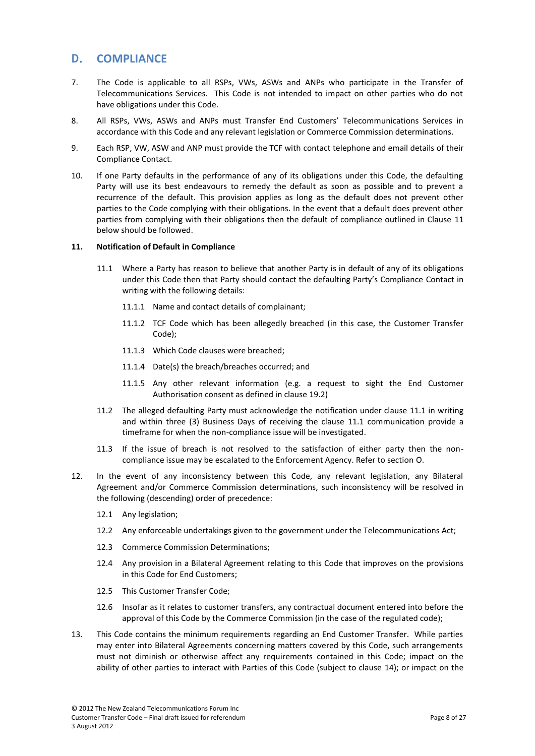# <span id="page-7-5"></span><span id="page-7-0"></span>**D. COMPLIANCE**

- 7. The Code is applicable to all RSPs, VWs, ASWs and ANPs who participate in the Transfer of Telecommunications Services. This Code is not intended to impact on other parties who do not have obligations under this Code.
- 8. All RSPs, VWs, ASWs and ANPs must Transfer End Customers' Telecommunications Services in accordance with this Code and any relevant legislation or Commerce Commission determinations.
- 9. Each RSP, VW, ASW and ANP must provide the TCF with contact telephone and email details of their Compliance Contact.
- <span id="page-7-1"></span>10. If one Party defaults in the performance of any of its obligations under this Code, the defaulting Party will use its best endeavours to remedy the default as soon as possible and to prevent a recurrence of the default. This provision applies as long as the default does not prevent other parties to the Code complying with their obligations. In the event that a default does prevent other parties from complying with their obligations then the default of compliance outlined in Clause [11](#page-7-2) below should be followed.

## <span id="page-7-3"></span><span id="page-7-2"></span>**11. Notification of Default in Compliance**

- 11.1 Where a Party has reason to believe that another Party is in default of any of its obligations under this Code then that Party should contact the defaulting Party's Compliance Contact in writing with the following details:
	- 11.1.1 Name and contact details of complainant;
	- 11.1.2 TCF Code which has been allegedly breached (in this case, the Customer Transfer Code);
	- 11.1.3 Which Code clauses were breached;
	- 11.1.4 Date(s) the breach/breaches occurred; and
	- 11.1.5 Any other relevant information (e.g. a request to sight the End Customer Authorisation consent as defined in clause [19.2\)](#page-9-3)
- 11.2 The alleged defaulting Party must acknowledge the notification under clause [11.1](#page-7-3) in writing and within three (3) Business Days of receiving the clause [11.1](#page-7-3) communication provide a timeframe for when the non-compliance issue will be investigated.
- 11.3 If the issue of breach is not resolved to the satisfaction of either party then the noncompliance issue may be escalated to the Enforcement Agency. Refer to section [O.](#page-18-3)
- <span id="page-7-4"></span>12. In the event of any inconsistency between this Code, any relevant legislation, any Bilateral Agreement and/or Commerce Commission determinations, such inconsistency will be resolved in the following (descending) order of precedence:
	- 12.1 Any legislation;
	- 12.2 Any enforceable undertakings given to the government under the Telecommunications Act;
	- 12.3 Commerce Commission Determinations;
	- 12.4 Any provision in a Bilateral Agreement relating to this Code that improves on the provisions in this Code for End Customers;
	- 12.5 This Customer Transfer Code;
	- 12.6 Insofar as it relates to customer transfers, any contractual document entered into before the approval of this Code by the Commerce Commission (in the case of the regulated code);
- 13. This Code contains the minimum requirements regarding an End Customer Transfer. While parties may enter into Bilateral Agreements concerning matters covered by this Code, such arrangements must not diminish or otherwise affect any requirements contained in this Code; impact on the ability of other parties to interact with Parties of this Code (subject to clause [14\)](#page-8-4); or impact on the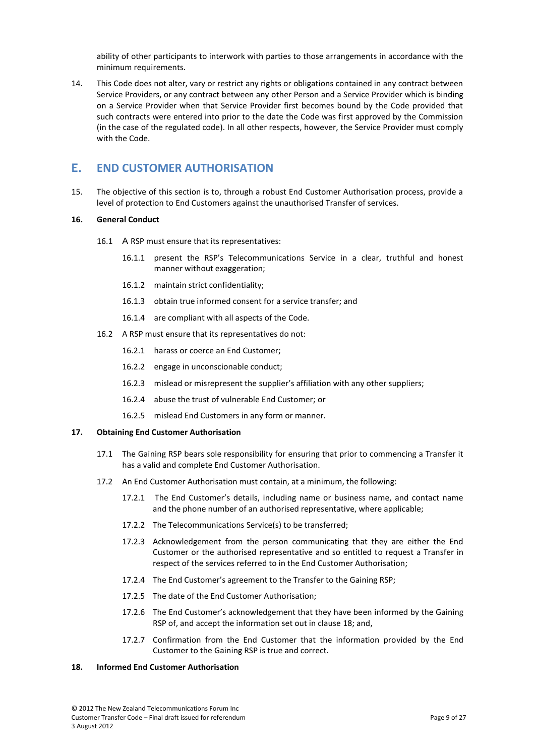ability of other participants to interwork with parties to those arrangements in accordance with the minimum requirements.

<span id="page-8-4"></span><span id="page-8-0"></span>14. This Code does not alter, vary or restrict any rights or obligations contained in any contract between Service Providers, or any contract between any other Person and a Service Provider which is binding on a Service Provider when that Service Provider first becomes bound by the Code provided that such contracts were entered into prior to the date the Code was first approved by the Commission (in the case of the regulated code). In all other respects, however, the Service Provider must comply with the Code.

# <span id="page-8-6"></span><span id="page-8-1"></span>**E. END CUSTOMER AUTHORISATION**

15. The objective of this section is to, through a robust End Customer Authorisation process, provide a level of protection to End Customers against the unauthorised Transfer of services.

### **16. General Conduct**

- 16.1 A RSP must ensure that its representatives:
	- 16.1.1 present the RSP's Telecommunications Service in a clear, truthful and honest manner without exaggeration;
	- 16.1.2 maintain strict confidentiality;
	- 16.1.3 obtain true informed consent for a service transfer; and
	- 16.1.4 are compliant with all aspects of the Code.
- 16.2 A RSP must ensure that its representatives do not:
	- 16.2.1 harass or coerce an End Customer;
	- 16.2.2 engage in unconscionable conduct;
	- 16.2.3 mislead or misrepresent the supplier's affiliation with any other suppliers;
	- 16.2.4 abuse the trust of vulnerable End Customer; or
	- 16.2.5 mislead End Customers in any form or manner.

## <span id="page-8-2"></span>**17. Obtaining End Customer Authorisation**

- 17.1 The Gaining RSP bears sole responsibility for ensuring that prior to commencing a Transfer it has a valid and complete End Customer Authorisation.
- 17.2 An End Customer Authorisation must contain, at a minimum, the following:
	- 17.2.1 The End Customer's details, including name or business name, and contact name and the phone number of an authorised representative, where applicable;
	- 17.2.2 The Telecommunications Service(s) to be transferred;
	- 17.2.3 Acknowledgement from the person communicating that they are either the End Customer or the authorised representative and so entitled to request a Transfer in respect of the services referred to in the End Customer Authorisation;
	- 17.2.4 The End Customer's agreement to the Transfer to the Gaining RSP;
	- 17.2.5 The date of the End Customer Authorisation;
	- 17.2.6 The End Customer's acknowledgement that they have been informed by the Gaining RSP of, and accept the information set out in clause [18;](#page-8-5) and,
	- 17.2.7 Confirmation from the End Customer that the information provided by the End Customer to the Gaining RSP is true and correct.

# <span id="page-8-5"></span><span id="page-8-3"></span>**18. Informed End Customer Authorisation**

<sup>© 2012</sup> The New Zealand Telecommunications Forum Inc Customer Transfer Code – Final draft issued for referendum Page 9 of 27 3 August 2012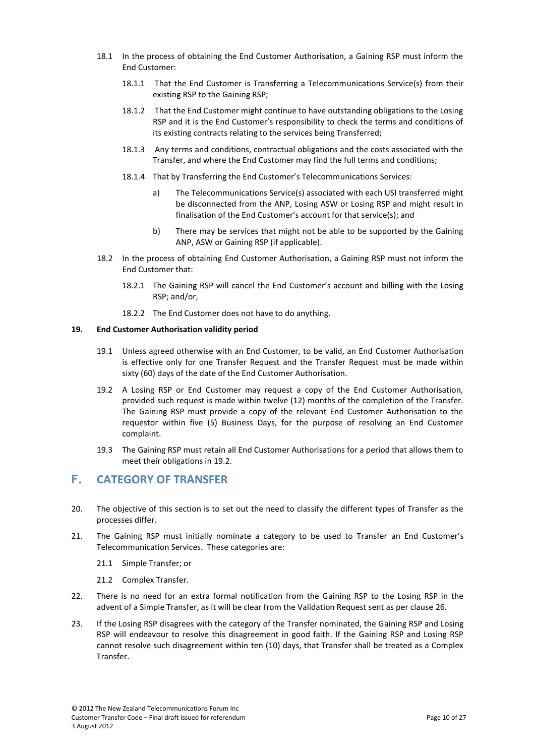- 18.1 In the process of obtaining the End Customer Authorisation, a Gaining RSP must inform the End Customer:
	- 18.1.1 That the End Customer is Transferring a Telecommunications Service(s) from their existing RSP to the Gaining RSP;
	- 18.1.2 That the End Customer might continue to have outstanding obligations to the Losing RSP and it is the End Customer's responsibility to check the terms and conditions of its existing contracts relating to the services being Transferred;
	- 18.1.3 Any terms and conditions, contractual obligations and the costs associated with the Transfer, and where the End Customer may find the full terms and conditions;
	- 18.1.4 That by Transferring the End Customer's Telecommunications Services:
		- a) The Telecommunications Service(s) associated with each USI transferred might be disconnected from the ANP, Losing ASW or Losing RSP and might result in finalisation of the End Customer's account for that service(s); and
		- b) There may be services that might not be able to be supported by the Gaining ANP, ASW or Gaining RSP (if applicable).
- <span id="page-9-0"></span>18.2 In the process of obtaining End Customer Authorisation, a Gaining RSP must not inform the End Customer that:
	- 18.2.1 The Gaining RSP will cancel the End Customer's account and billing with the Losing RSP; and/or,
	- 18.2.2 The End Customer does not have to do anything.

#### <span id="page-9-2"></span>**19. End Customer Authorisation validity period**

- 19.1 Unless agreed otherwise with an End Customer, to be valid, an End Customer Authorisation is effective only for one Transfer Request and the Transfer Request must be made within sixty (60) days of the date of the End Customer Authorisation.
- <span id="page-9-3"></span>19.2 A Losing RSP or End Customer may request a copy of the End Customer Authorisation, provided such request is made within twelve (12) months of the completion of the Transfer. The Gaining RSP must provide a copy of the relevant End Customer Authorisation to the requestor within five (5) Business Days, for the purpose of resolving an End Customer complaint.
- <span id="page-9-5"></span><span id="page-9-1"></span>19.3 The Gaining RSP must retain all End Customer Authorisations for a period that allows them to meet their obligations in [19.2.](#page-9-3)

# **F. CATEGORY OF TRANSFER**

- 20. The objective of this section is to set out the need to classify the different types of Transfer as the processes differ.
- <span id="page-9-4"></span>21. The Gaining RSP must initially nominate a category to be used to Transfer an End Customer's Telecommunication Services. These categories are:
	- 21.1 Simple Transfer; or
	- 21.2 Complex Transfer.
- 22. There is no need for an extra formal notification from the Gaining RSP to the Losing RSP in the advent of a Simple Transfer, as it will be clear from the Validation Request sent as per clause [26.](#page-10-5)
- 23. If the Losing RSP disagrees with the category of the Transfer nominated, the Gaining RSP and Losing RSP will endeavour to resolve this disagreement in good faith. If the Gaining RSP and Losing RSP cannot resolve such disagreement within ten (10) days, that Transfer shall be treated as a Complex **Transfer**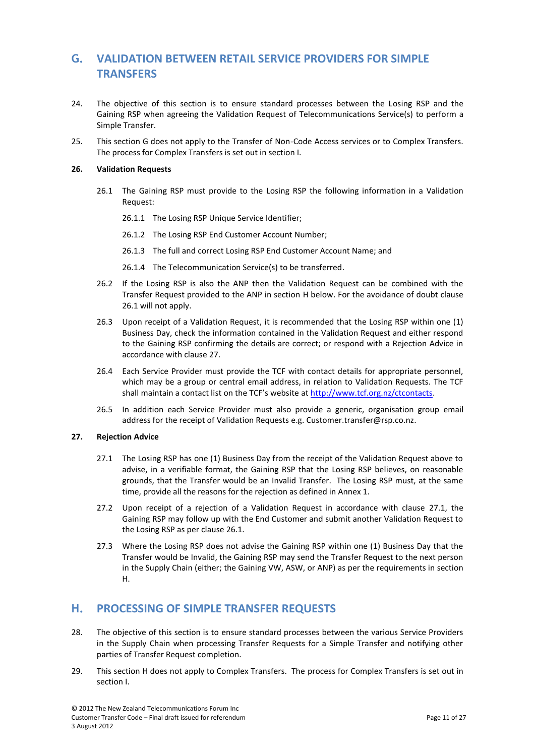# <span id="page-10-4"></span><span id="page-10-0"></span>**G. VALIDATION BETWEEN RETAIL SERVICE PROVIDERS FOR SIMPLE TRANSFERS**

- 24. The objective of this section is to ensure standard processes between the Losing RSP and the Gaining RSP when agreeing the Validation Request of Telecommunications Service(s) to perform a Simple Transfer.
- <span id="page-10-1"></span>25. This section G does not apply to the Transfer of Non-Code Access services or to Complex Transfers. The process for Complex Transfers is set out in section I.

## <span id="page-10-7"></span><span id="page-10-5"></span>**26. Validation Requests**

- 26.1 The Gaining RSP must provide to the Losing RSP the following information in a Validation Request:
	- 26.1.1 The Losing RSP Unique Service Identifier;
	- 26.1.2 The Losing RSP End Customer Account Number;
	- 26.1.3 The full and correct Losing RSP End Customer Account Name; and
	- 26.1.4 The Telecommunication Service(s) to be transferred.
- 26.2 If the Losing RSP is also the ANP then the Validation Request can be combined with the Transfer Request provided to the ANP in section [H](#page-10-6) below. For the avoidance of doubt clause [26.1](#page-10-7) will not apply.
- 26.3 Upon receipt of a Validation Request, it is recommended that the Losing RSP within one (1) Business Day, check the information contained in the Validation Request and either respond to the Gaining RSP confirming the details are correct; or respond with a Rejection Advice in accordance with clause [27.](#page-10-8)
- 26.4 Each Service Provider must provide the TCF with contact details for appropriate personnel, which may be a group or central email address, in relation to Validation Requests. The TCF shall maintain a contact list on the TCF's website a[t http://www.tcf.org.nz/ctcontacts.](http://www.tcf.org.nz/ctcontacts)
- <span id="page-10-2"></span>26.5 In addition each Service Provider must also provide a generic, organisation group email address for the receipt of Validation Requests e.g. [Customer.transfer@rsp.co.nz.](mailto:Customer.transfer@rsp.co.nz)

#### <span id="page-10-9"></span><span id="page-10-8"></span>**27. Rejection Advice**

- 27.1 The Losing RSP has one (1) Business Day from the receipt of the Validation Request above to advise, in a verifiable format, the Gaining RSP that the Losing RSP believes, on reasonable grounds, that the Transfer would be an Invalid Transfer. The Losing RSP must, at the same time, provide all the reasons for the rejection as defined in Annex 1.
- 27.2 Upon receipt of a rejection of a Validation Request in accordance with clause [27.1,](#page-10-9) the Gaining RSP may follow up with the End Customer and submit another Validation Request to the Losing RSP as per clause [26.1.](#page-10-7)
- <span id="page-10-3"></span>27.3 Where the Losing RSP does not advise the Gaining RSP within one (1) Business Day that the Transfer would be Invalid, the Gaining RSP may send the Transfer Request to the next person in the Supply Chain (either; the Gaining VW, ASW, or ANP) as per the requirements in section [H.](#page-10-6)

# <span id="page-10-6"></span>**H. PROCESSING OF SIMPLE TRANSFER REQUESTS**

- 28. The objective of this section is to ensure standard processes between the various Service Providers in the Supply Chain when processing Transfer Requests for a Simple Transfer and notifying other parties of Transfer Request completion.
- 29. This section H does not apply to Complex Transfers. The process for Complex Transfers is set out in section I.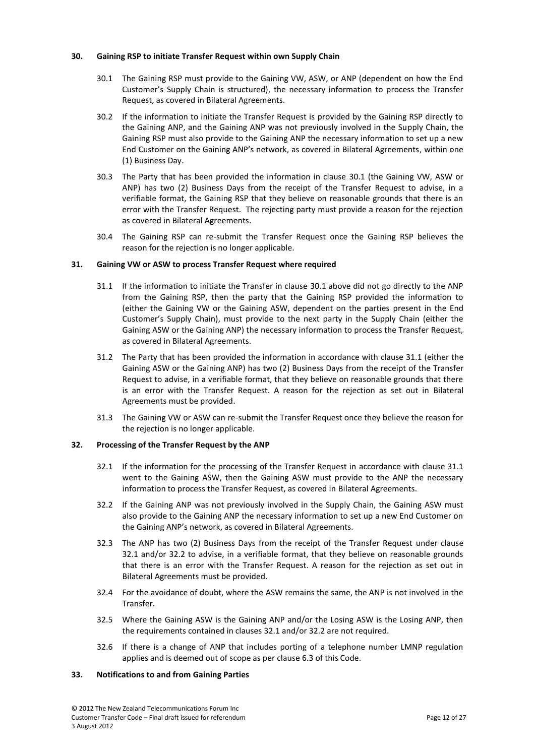### <span id="page-11-4"></span><span id="page-11-0"></span>**30. Gaining RSP to initiate Transfer Request within own Supply Chain**

- 30.1 The Gaining RSP must provide to the Gaining VW, ASW, or ANP (dependent on how the End Customer's Supply Chain is structured), the necessary information to process the Transfer Request, as covered in Bilateral Agreements.
- 30.2 If the information to initiate the Transfer Request is provided by the Gaining RSP directly to the Gaining ANP, and the Gaining ANP was not previously involved in the Supply Chain, the Gaining RSP must also provide to the Gaining ANP the necessary information to set up a new End Customer on the Gaining ANP's network, as covered in Bilateral Agreements, within one (1) Business Day.
- 30.3 The Party that has been provided the information in clause [30.1](#page-11-4) (the Gaining VW, ASW or ANP) has two (2) Business Days from the receipt of the Transfer Request to advise, in a verifiable format, the Gaining RSP that they believe on reasonable grounds that there is an error with the Transfer Request. The rejecting party must provide a reason for the rejection as covered in Bilateral Agreements.
- <span id="page-11-1"></span>30.4 The Gaining RSP can re-submit the Transfer Request once the Gaining RSP believes the reason for the rejection is no longer applicable.

## <span id="page-11-5"></span>**31. Gaining VW or ASW to process Transfer Request where required**

- 31.1 If the information to initiate the Transfer in clause [30.1](#page-11-4) above did not go directly to the ANP from the Gaining RSP, then the party that the Gaining RSP provided the information to (either the Gaining VW or the Gaining ASW, dependent on the parties present in the End Customer's Supply Chain), must provide to the next party in the Supply Chain (either the Gaining ASW or the Gaining ANP) the necessary information to process the Transfer Request, as covered in Bilateral Agreements.
- 31.2 The Party that has been provided the information in accordance with clause [31.1](#page-11-5) (either the Gaining ASW or the Gaining ANP) has two (2) Business Days from the receipt of the Transfer Request to advise, in a verifiable format, that they believe on reasonable grounds that there is an error with the Transfer Request. A reason for the rejection as set out in Bilateral Agreements must be provided.
- <span id="page-11-2"></span>31.3 The Gaining VW or ASW can re-submit the Transfer Request once they believe the reason for the rejection is no longer applicable.

## <span id="page-11-6"></span>**32. Processing of the Transfer Request by the ANP**

- 32.1 If the information for the processing of the Transfer Request in accordance with clause [31.1](#page-11-5) went to the Gaining ASW, then the Gaining ASW must provide to the ANP the necessary information to process the Transfer Request, as covered in Bilateral Agreements.
- <span id="page-11-7"></span>32.2 If the Gaining ANP was not previously involved in the Supply Chain, the Gaining ASW must also provide to the Gaining ANP the necessary information to set up a new End Customer on the Gaining ANP's network, as covered in Bilateral Agreements.
- 32.3 The ANP has two (2) Business Days from the receipt of the Transfer Request under clause [32.1](#page-11-6) and/or [32.2](#page-11-7) to advise, in a verifiable format, that they believe on reasonable grounds that there is an error with the Transfer Request. A reason for the rejection as set out in Bilateral Agreements must be provided.
- 32.4 For the avoidance of doubt, where the ASW remains the same, the ANP is not involved in the Transfer.
- <span id="page-11-3"></span>32.5 Where the Gaining ASW is the Gaining ANP and/or the Losing ASW is the Losing ANP, then the requirements contained in clauses [32.1](#page-11-6) and/or [32.2](#page-11-7) are not required.
- 32.6 If there is a change of ANP that includes porting of a telephone number LMNP regulation applies and is deemed out of scope as per claus[e 6.3](#page-6-4) of this Code.

# <span id="page-11-8"></span>**33. Notifications to and from Gaining Parties**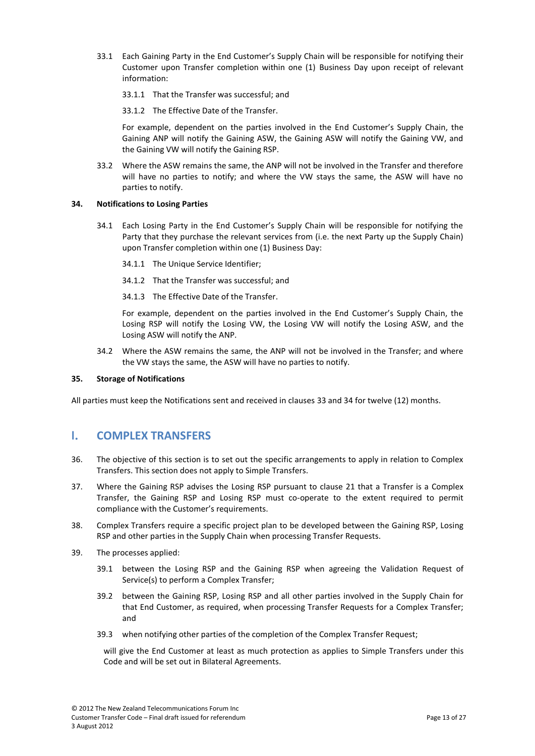- 33.1 Each Gaining Party in the End Customer's Supply Chain will be responsible for notifying their Customer upon Transfer completion within one (1) Business Day upon receipt of relevant information:
	- 33.1.1 That the Transfer was successful; and
	- 33.1.2 The Effective Date of the Transfer.

For example, dependent on the parties involved in the End Customer's Supply Chain, the Gaining ANP will notify the Gaining ASW, the Gaining ASW will notify the Gaining VW, and the Gaining VW will notify the Gaining RSP.

<span id="page-12-0"></span>33.2 Where the ASW remains the same, the ANP will not be involved in the Transfer and therefore will have no parties to notify; and where the VW stays the same, the ASW will have no parties to notify.

## <span id="page-12-3"></span>**34. Notifications to Losing Parties**

- 34.1 Each Losing Party in the End Customer's Supply Chain will be responsible for notifying the Party that they purchase the relevant services from (i.e. the next Party up the Supply Chain) upon Transfer completion within one (1) Business Day:
	- 34.1.1 The Unique Service Identifier;
	- 34.1.2 That the Transfer was successful; and
	- 34.1.3 The Effective Date of the Transfer.

For example, dependent on the parties involved in the End Customer's Supply Chain, the Losing RSP will notify the Losing VW, the Losing VW will notify the Losing ASW, and the Losing ASW will notify the ANP.

<span id="page-12-1"></span>34.2 Where the ASW remains the same, the ANP will not be involved in the Transfer; and where the VW stays the same, the ASW will have no parties to notify.

# <span id="page-12-7"></span><span id="page-12-2"></span>**35. Storage of Notifications**

All parties must keep the Notifications sent and received in clauses [33](#page-11-8) an[d 34](#page-12-3) for twelve (12) months.

# **I. COMPLEX TRANSFERS**

- 36. The objective of this section is to set out the specific arrangements to apply in relation to Complex Transfers. This section does not apply to Simple Transfers.
- <span id="page-12-6"></span>37. Where the Gaining RSP advises the Losing RSP pursuant to clause [21](#page-9-4) that a Transfer is a Complex Transfer, the Gaining RSP and Losing RSP must co-operate to the extent required to permit compliance with the Customer's requirements.
- <span id="page-12-4"></span>38. Complex Transfers require a specific project plan to be developed between the Gaining RSP, Losing RSP and other parties in the Supply Chain when processing Transfer Requests.
- <span id="page-12-5"></span>39. The processes applied:
	- 39.1 between the Losing RSP and the Gaining RSP when agreeing the Validation Request of Service(s) to perform a Complex Transfer;
	- 39.2 between the Gaining RSP, Losing RSP and all other parties involved in the Supply Chain for that End Customer, as required, when processing Transfer Requests for a Complex Transfer; and
	- 39.3 when notifying other parties of the completion of the Complex Transfer Request;

will give the End Customer at least as much protection as applies to Simple Transfers under this Code and will be set out in Bilateral Agreements.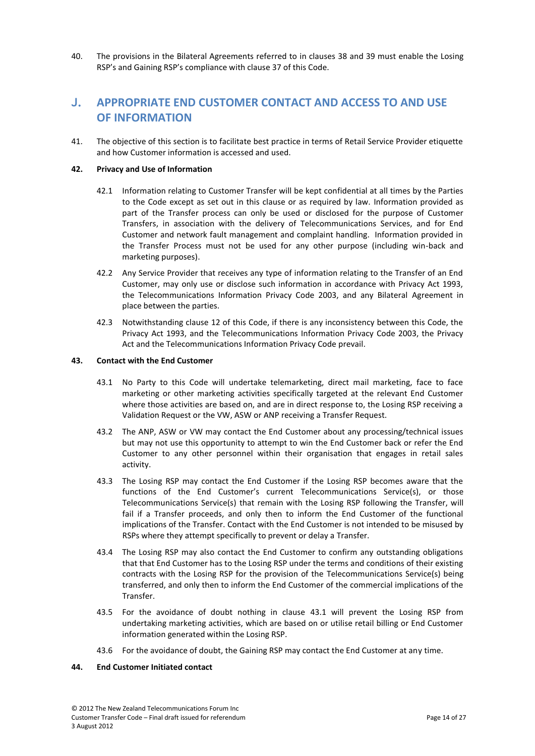<span id="page-13-0"></span>40. The provisions in the Bilateral Agreements referred to in clauses [38](#page-12-4) and [39](#page-12-5) must enable the Losing RSP's and Gaining RSP's compliance with clause [37](#page-12-6) of this Code.

# **J. APPROPRIATE END CUSTOMER CONTACT AND ACCESS TO AND USE OF INFORMATION**

<span id="page-13-1"></span>41. The objective of this section is to facilitate best practice in terms of Retail Service Provider etiquette and how Customer information is accessed and used.

## **42. Privacy and Use of Information**

- 42.1 Information relating to Customer Transfer will be kept confidential at all times by the Parties to the Code except as set out in this clause or as required by law. Information provided as part of the Transfer process can only be used or disclosed for the purpose of Customer Transfers, in association with the delivery of Telecommunications Services, and for End Customer and network fault management and complaint handling. Information provided in the Transfer Process must not be used for any other purpose (including win-back and marketing purposes).
- 42.2 Any Service Provider that receives any type of information relating to the Transfer of an End Customer, may only use or disclose such information in accordance with Privacy Act 1993, the Telecommunications Information Privacy Code 2003, and any Bilateral Agreement in place between the parties.
- <span id="page-13-2"></span>42.3 Notwithstanding clause [12](#page-7-4) of this Code, if there is any inconsistency between this Code, the Privacy Act 1993, and the Telecommunications Information Privacy Code 2003, the Privacy Act and the Telecommunications Information Privacy Code prevail.

## <span id="page-13-4"></span>**43. Contact with the End Customer**

- 43.1 No Party to this Code will undertake telemarketing, direct mail marketing, face to face marketing or other marketing activities specifically targeted at the relevant End Customer where those activities are based on, and are in direct response to, the Losing RSP receiving a Validation Request or the VW, ASW or ANP receiving a Transfer Request.
- 43.2 The ANP, ASW or VW may contact the End Customer about any processing/technical issues but may not use this opportunity to attempt to win the End Customer back or refer the End Customer to any other personnel within their organisation that engages in retail sales activity.
- 43.3 The Losing RSP may contact the End Customer if the Losing RSP becomes aware that the functions of the End Customer's current Telecommunications Service(s), or those Telecommunications Service(s) that remain with the Losing RSP following the Transfer, will fail if a Transfer proceeds, and only then to inform the End Customer of the functional implications of the Transfer. Contact with the End Customer is not intended to be misused by RSPs where they attempt specifically to prevent or delay a Transfer.
- 43.4 The Losing RSP may also contact the End Customer to confirm any outstanding obligations that that End Customer has to the Losing RSP under the terms and conditions of their existing contracts with the Losing RSP for the provision of the Telecommunications Service(s) being transferred, and only then to inform the End Customer of the commercial implications of the Transfer.
- <span id="page-13-3"></span>43.5 For the avoidance of doubt nothing in clause [43.1](#page-13-4) will prevent the Losing RSP from undertaking marketing activities, which are based on or utilise retail billing or End Customer information generated within the Losing RSP.
- 43.6 For the avoidance of doubt, the Gaining RSP may contact the End Customer at any time.

## **44. End Customer Initiated contact**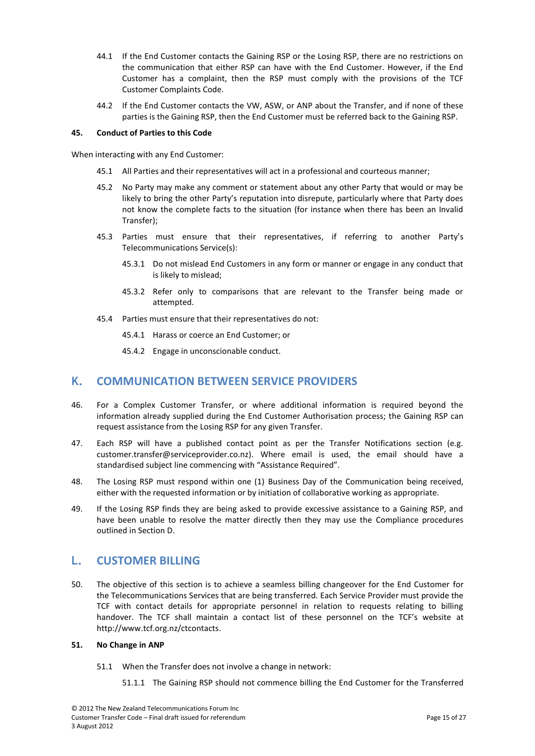- 44.1 If the End Customer contacts the Gaining RSP or the Losing RSP, there are no restrictions on the communication that either RSP can have with the End Customer. However, if the End Customer has a complaint, then the RSP must comply with the provisions of the TCF Customer Complaints Code.
- <span id="page-14-0"></span>44.2 If the End Customer contacts the VW, ASW, or ANP about the Transfer, and if none of these parties is the Gaining RSP, then the End Customer must be referred back to the Gaining RSP.

## <span id="page-14-4"></span>**45. Conduct of Parties to this Code**

When interacting with any End Customer:

- 45.1 All Parties and their representatives will act in a professional and courteous manner;
- 45.2 No Party may make any comment or statement about any other Party that would or may be likely to bring the other Party's reputation into disrepute, particularly where that Party does not know the complete facts to the situation (for instance when there has been an Invalid Transfer);
- 45.3 Parties must ensure that their representatives, if referring to another Party's Telecommunications Service(s):
	- 45.3.1 Do not mislead End Customers in any form or manner or engage in any conduct that is likely to mislead;
	- 45.3.2 Refer only to comparisons that are relevant to the Transfer being made or attempted.
- <span id="page-14-1"></span>45.4 Parties must ensure that their representatives do not:
	- 45.4.1 Harass or coerce an End Customer; or
	- 45.4.2 Engage in unconscionable conduct.

# **K. COMMUNICATION BETWEEN SERVICE PROVIDERS**

- 46. For a Complex Customer Transfer, or where additional information is required beyond the information already supplied during the End Customer Authorisation process; the Gaining RSP can request assistance from the Losing RSP for any given Transfer.
- 47. Each RSP will have a published contact point as per the Transfer Notifications section (e.g. [customer.transfer@serviceprovider.co.nz\)](file://Onzldc/Documents%20and%20Settings/jackiec/AppData/Local/Microsoft/Windows/Temporary%20Internet%20Files/Content.Outlook/EDKBE3E4/customer.transfer@serviceprovider.co.nz). Where email is used, the email should have a standardised subject line commencing with "Assistance Required".
- 48. The Losing RSP must respond within one (1) Business Day of the Communication being received, either with the requested information or by initiation of collaborative working as appropriate.
- <span id="page-14-2"></span>49. If the Losing RSP finds they are being asked to provide excessive assistance to a Gaining RSP, and have been unable to resolve the matter directly then they may use the Compliance procedures outlined in Section [D.](#page-7-5)

# **L. CUSTOMER BILLING**

<span id="page-14-3"></span>50. The objective of this section is to achieve a seamless billing changeover for the End Customer for the Telecommunications Services that are being transferred. Each Service Provider must provide the TCF with contact details for appropriate personnel in relation to requests relating to billing handover. The TCF shall maintain a contact list of these personnel on the TCF's website at http://www.tcf.org.nz/ctcontacts.

#### **51. No Change in ANP**

- 51.1 When the Transfer does not involve a change in network:
	- 51.1.1 The Gaining RSP should not commence billing the End Customer for the Transferred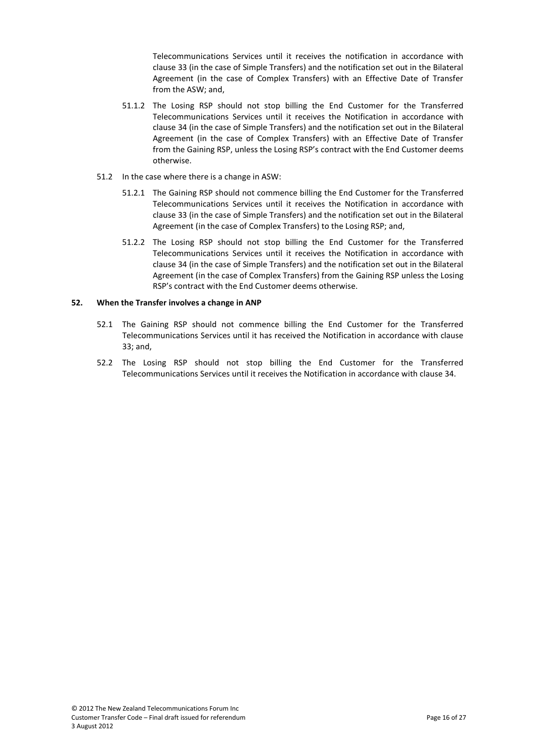Telecommunications Services until it receives the notification in accordance with clause [33](#page-11-8) (in the case of Simple Transfers) and the notification set out in the Bilateral Agreement (in the case of Complex Transfers) with an Effective Date of Transfer from the ASW; and,

- 51.1.2 The Losing RSP should not stop billing the End Customer for the Transferred Telecommunications Services until it receives the Notification in accordance with clause [34](#page-12-3) (in the case of Simple Transfers) and the notification set out in the Bilateral Agreement (in the case of Complex Transfers) with an Effective Date of Transfer from the Gaining RSP, unless the Losing RSP's contract with the End Customer deems otherwise.
- 51.2 In the case where there is a change in ASW:
	- 51.2.1 The Gaining RSP should not commence billing the End Customer for the Transferred Telecommunications Services until it receives the Notification in accordance with clause [33](#page-11-8) (in the case of Simple Transfers) and the notification set out in the Bilateral Agreement (in the case of Complex Transfers) to the Losing RSP; and,
	- 51.2.2 The Losing RSP should not stop billing the End Customer for the Transferred Telecommunications Services until it receives the Notification in accordance with clause [34](#page-12-3) (in the case of Simple Transfers) and the notification set out in the Bilateral Agreement (in the case of Complex Transfers) from the Gaining RSP unless the Losing RSP's contract with the End Customer deems otherwise.

## <span id="page-15-0"></span>**52. When the Transfer involves a change in ANP**

- 52.1 The Gaining RSP should not commence billing the End Customer for the Transferred Telecommunications Services until it has received the Notification in accordance with clause [33;](#page-11-8) and,
- 52.2 The Losing RSP should not stop billing the End Customer for the Transferred Telecommunications Services until it receives the Notification in accordance with clause [34.](#page-12-3)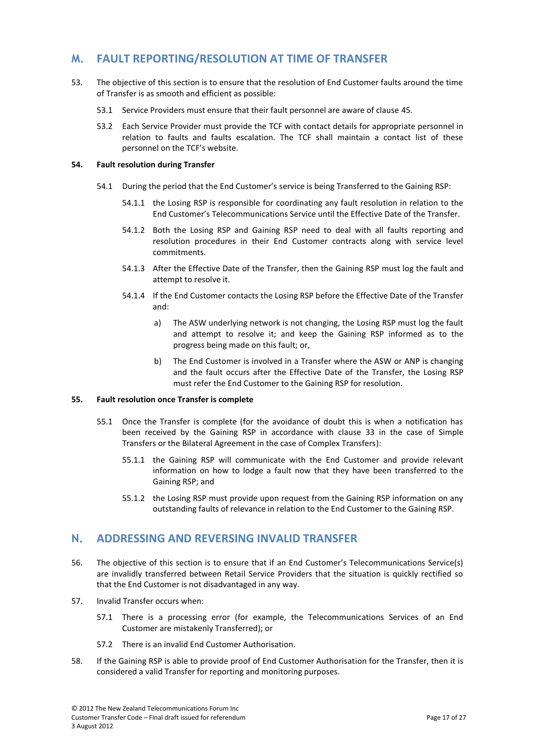# <span id="page-16-0"></span>**M. FAULT REPORTING/RESOLUTION AT TIME OF TRANSFER**

- <span id="page-16-1"></span>53. The objective of this section is to ensure that the resolution of End Customer faults around the time of Transfer is as smooth and efficient as possible:
	- 53.1 Service Providers must ensure that their fault personnel are aware of clause [45.](#page-14-4)
	- 53.2 Each Service Provider must provide the TCF with contact details for appropriate personnel in relation to faults and faults escalation. The TCF shall maintain a contact list of these personnel on the TCF's website.

# **54. Fault resolution during Transfer**

- 54.1 During the period that the End Customer's service is being Transferred to the Gaining RSP:
	- 54.1.1 the Losing RSP is responsible for coordinating any fault resolution in relation to the End Customer's Telecommunications Service until the Effective Date of the Transfer.
	- 54.1.2 Both the Losing RSP and Gaining RSP need to deal with all faults reporting and resolution procedures in their End Customer contracts along with service level commitments.
	- 54.1.3 After the Effective Date of the Transfer, then the Gaining RSP must log the fault and attempt to resolve it.
	- 54.1.4 If the End Customer contacts the Losing RSP before the Effective Date of the Transfer and:
		- a) The ASW underlying network is not changing, the Losing RSP must log the fault and attempt to resolve it; and keep the Gaining RSP informed as to the progress being made on this fault; or,
		- b) The End Customer is involved in a Transfer where the ASW or ANP is changing and the fault occurs after the Effective Date of the Transfer, the Losing RSP must refer the End Customer to the Gaining RSP for resolution.

## <span id="page-16-2"></span>**55. Fault resolution once Transfer is complete**

- 55.1 Once the Transfer is complete (for the avoidance of doubt this is when a notification has been received by the Gaining RSP in accordance with clause [33](#page-11-8) in the case of Simple Transfers or the Bilateral Agreement in the case of Complex Transfers):
	- 55.1.1 the Gaining RSP will communicate with the End Customer and provide relevant information on how to lodge a fault now that they have been transferred to the Gaining RSP; and
	- 55.1.2 the Losing RSP must provide upon request from the Gaining RSP information on any outstanding faults of relevance in relation to the End Customer to the Gaining RSP.

# <span id="page-16-4"></span><span id="page-16-3"></span>**N. ADDRESSING AND REVERSING INVALID TRANSFER**

- 56. The objective of this section is to ensure that if an End Customer's Telecommunications Service(s) are invalidly transferred between Retail Service Providers that the situation is quickly rectified so that the End Customer is not disadvantaged in any way.
- 57. Invalid Transfer occurs when:
	- 57.1 There is a processing error (for example, the Telecommunications Services of an End Customer are mistakenly Transferred); or
	- 57.2 There is an invalid End Customer Authorisation.
- 58. If the Gaining RSP is able to provide proof of End Customer Authorisation for the Transfer, then it is considered a valid Transfer for reporting and monitoring purposes.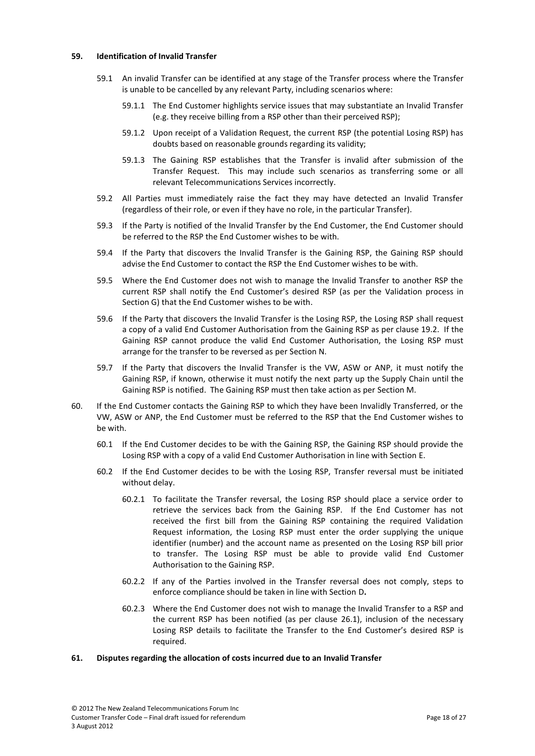#### <span id="page-17-0"></span>**59. Identification of Invalid Transfer**

- 59.1 An invalid Transfer can be identified at any stage of the Transfer process where the Transfer is unable to be cancelled by any relevant Party, including scenarios where:
	- 59.1.1 The End Customer highlights service issues that may substantiate an Invalid Transfer (e.g. they receive billing from a RSP other than their perceived RSP);
	- 59.1.2 Upon receipt of a Validation Request, the current RSP (the potential Losing RSP) has doubts based on reasonable grounds regarding its validity;
	- 59.1.3 The Gaining RSP establishes that the Transfer is invalid after submission of the Transfer Request. This may include such scenarios as transferring some or all relevant Telecommunications Services incorrectly.
- 59.2 All Parties must immediately raise the fact they may have detected an Invalid Transfer (regardless of their role, or even if they have no role, in the particular Transfer).
- 59.3 If the Party is notified of the Invalid Transfer by the End Customer, the End Customer should be referred to the RSP the End Customer wishes to be with.
- 59.4 If the Party that discovers the Invalid Transfer is the Gaining RSP, the Gaining RSP should advise the End Customer to contact the RSP the End Customer wishes to be with.
- 59.5 Where the End Customer does not wish to manage the Invalid Transfer to another RSP the current RSP shall notify the End Customer's desired RSP (as per the Validation process in Sectio[n G\)](#page-10-4) that the End Customer wishes to be with.
- 59.6 If the Party that discovers the Invalid Transfer is the Losing RSP, the Losing RSP shall request a copy of a valid End Customer Authorisation from the Gaining RSP as per clause [19.2.](#page-9-3) If the Gaining RSP cannot produce the valid End Customer Authorisation, the Losing RSP must arrange for the transfer to be reversed as per Section [N.](#page-16-4)
- 59.7 If the Party that discovers the Invalid Transfer is the VW, ASW or ANP, it must notify the Gaining RSP, if known, otherwise it must notify the next party up the Supply Chain until the Gaining RSP is notified. The Gaining RSP must then take action as per Section M.
- 60. If the End Customer contacts the Gaining RSP to which they have been Invalidly Transferred, or the VW, ASW or ANP, the End Customer must be referred to the RSP that the End Customer wishes to be with.
	- 60.1 If the End Customer decides to be with the Gaining RSP, the Gaining RSP should provide the Losing RSP with a copy of a valid End Customer Authorisation in line with Section [E.](#page-8-6)
	- 60.2 If the End Customer decides to be with the Losing RSP, Transfer reversal must be initiated without delay.
		- 60.2.1 To facilitate the Transfer reversal, the Losing RSP should place a service order to retrieve the services back from the Gaining RSP. If the End Customer has not received the first bill from the Gaining RSP containing the required Validation Request information, the Losing RSP must enter the order supplying the unique identifier (number) and the account name as presented on the Losing RSP bill prior to transfer. The Losing RSP must be able to provide valid End Customer Authorisation to the Gaining RSP.
		- 60.2.2 If any of the Parties involved in the Transfer reversal does not comply, steps to enforce compliance should be taken in line with Section [D](#page-7-5)**.**
		- 60.2.3 Where the End Customer does not wish to manage the Invalid Transfer to a RSP and the current RSP has been notified (as per clause [26.1\)](#page-10-7), inclusion of the necessary Losing RSP details to facilitate the Transfer to the End Customer's desired RSP is required.

#### <span id="page-17-1"></span>**61. Disputes regarding the allocation of costs incurred due to an Invalid Transfer**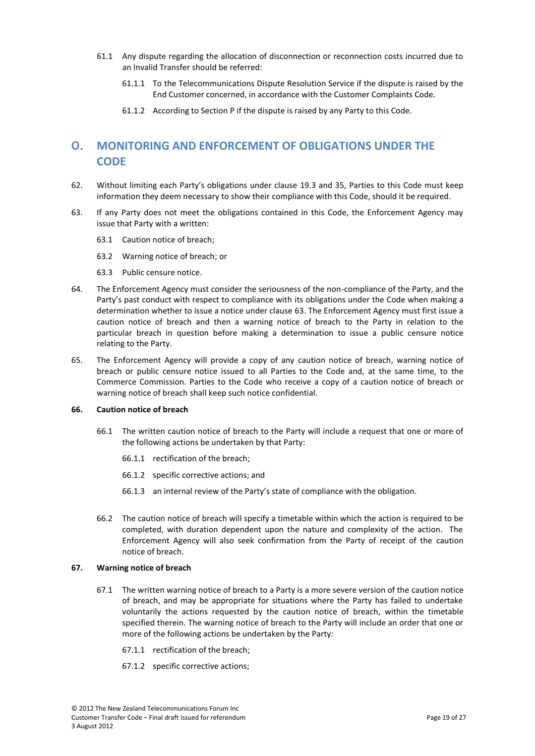- 61.1 Any dispute regarding the allocation of disconnection or reconnection costs incurred due to an Invalid Transfer should be referred:
	- 61.1.1 To the Telecommunications Dispute Resolution Service if the dispute is raised by the End Customer concerned, in accordance with the Customer Complaints Code.
	- 61.1.2 According to Section [P](#page-20-6) if the dispute is raised by any Party to this Code.

# <span id="page-18-3"></span><span id="page-18-0"></span>**O. MONITORING AND ENFORCEMENT OF OBLIGATIONS UNDER THE CODE**

- 62. Without limiting each Party's obligations under clause [19.3](#page-9-5) and [35,](#page-12-7) Parties to this Code must keep information they deem necessary to show their compliance with this Code, should it be required.
- <span id="page-18-4"></span>63. If any Party does not meet the obligations contained in this Code, the Enforcement Agency may issue that Party with a written:
	- 63.1 Caution notice of breach;
	- 63.2 Warning notice of breach; or
	- 63.3 Public censure notice.
- 64. The Enforcement Agency must consider the seriousness of the non-compliance of the Party, and the Party's past conduct with respect to compliance with its obligations under the Code when making a determination whether to issue a notice under clause [63.](#page-18-4) The Enforcement Agency must first issue a caution notice of breach and then a warning notice of breach to the Party in relation to the particular breach in question before making a determination to issue a public censure notice relating to the Party.
- <span id="page-18-1"></span>65. The Enforcement Agency will provide a copy of any caution notice of breach, warning notice of breach or public censure notice issued to all Parties to the Code and, at the same time, to the Commerce Commission. Parties to the Code who receive a copy of a caution notice of breach or warning notice of breach shall keep such notice confidential.

#### **66. Caution notice of breach**

- 66.1 The written caution notice of breach to the Party will include a request that one or more of the following actions be undertaken by that Party:
	- 66.1.1 rectification of the breach;
	- 66.1.2 specific corrective actions; and
	- 66.1.3 an internal review of the Party's state of compliance with the obligation.
- <span id="page-18-2"></span>66.2 The caution notice of breach will specify a timetable within which the action is required to be completed, with duration dependent upon the nature and complexity of the action. The Enforcement Agency will also seek confirmation from the Party of receipt of the caution notice of breach.

#### **67. Warning notice of breach**

- 67.1 The written warning notice of breach to a Party is a more severe version of the caution notice of breach, and may be appropriate for situations where the Party has failed to undertake voluntarily the actions requested by the caution notice of breach, within the timetable specified therein. The warning notice of breach to the Party will include an order that one or more of the following actions be undertaken by the Party:
	- 67.1.1 rectification of the breach;
	- 67.1.2 specific corrective actions;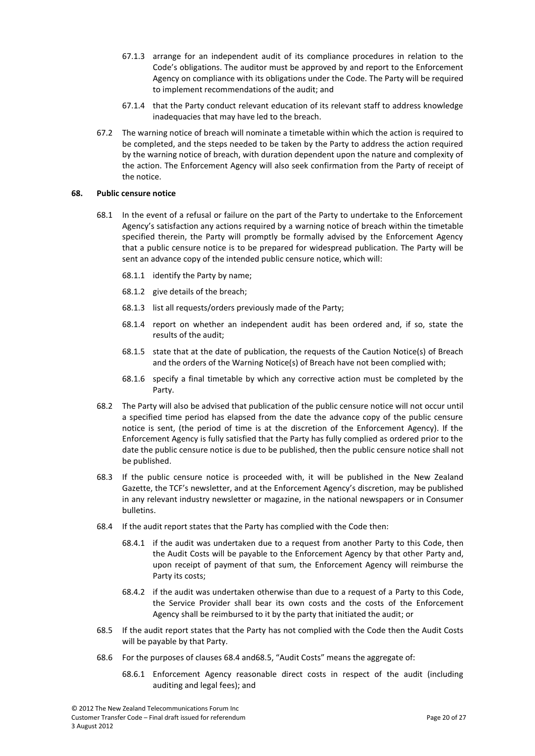- 67.1.3 arrange for an independent audit of its compliance procedures in relation to the Code's obligations. The auditor must be approved by and report to the Enforcement Agency on compliance with its obligations under the Code. The Party will be required to implement recommendations of the audit; and
- 67.1.4 that the Party conduct relevant education of its relevant staff to address knowledge inadequacies that may have led to the breach.
- <span id="page-19-0"></span>67.2 The warning notice of breach will nominate a timetable within which the action is required to be completed, and the steps needed to be taken by the Party to address the action required by the warning notice of breach, with duration dependent upon the nature and complexity of the action. The Enforcement Agency will also seek confirmation from the Party of receipt of the notice.

## **68. Public censure notice**

- 68.1 In the event of a refusal or failure on the part of the Party to undertake to the Enforcement Agency's satisfaction any actions required by a warning notice of breach within the timetable specified therein, the Party will promptly be formally advised by the Enforcement Agency that a public censure notice is to be prepared for widespread publication. The Party will be sent an advance copy of the intended public censure notice, which will:
	- 68.1.1 identify the Party by name;
	- 68.1.2 give details of the breach;
	- 68.1.3 list all requests/orders previously made of the Party;
	- 68.1.4 report on whether an independent audit has been ordered and, if so, state the results of the audit;
	- 68.1.5 state that at the date of publication, the requests of the Caution Notice(s) of Breach and the orders of the Warning Notice(s) of Breach have not been complied with;
	- 68.1.6 specify a final timetable by which any corrective action must be completed by the Party.
- 68.2 The Party will also be advised that publication of the public censure notice will not occur until a specified time period has elapsed from the date the advance copy of the public censure notice is sent, (the period of time is at the discretion of the Enforcement Agency). If the Enforcement Agency is fully satisfied that the Party has fully complied as ordered prior to the date the public censure notice is due to be published, then the public censure notice shall not be published.
- 68.3 If the public censure notice is proceeded with, it will be published in the New Zealand Gazette, the TCF's newsletter, and at the Enforcement Agency's discretion, may be published in any relevant industry newsletter or magazine, in the national newspapers or in Consumer bulletins.
- <span id="page-19-1"></span>68.4 If the audit report states that the Party has complied with the Code then:
	- 68.4.1 if the audit was undertaken due to a request from another Party to this Code, then the Audit Costs will be payable to the Enforcement Agency by that other Party and, upon receipt of payment of that sum, the Enforcement Agency will reimburse the Party its costs;
	- 68.4.2 if the audit was undertaken otherwise than due to a request of a Party to this Code, the Service Provider shall bear its own costs and the costs of the Enforcement Agency shall be reimbursed to it by the party that initiated the audit; or
- <span id="page-19-2"></span>68.5 If the audit report states that the Party has not complied with the Code then the Audit Costs will be payable by that Party.
- 68.6 For the purposes of clause[s 68.4](#page-19-1) an[d68.5](#page-19-2), "Audit Costs" means the aggregate of:
	- 68.6.1 Enforcement Agency reasonable direct costs in respect of the audit (including auditing and legal fees); and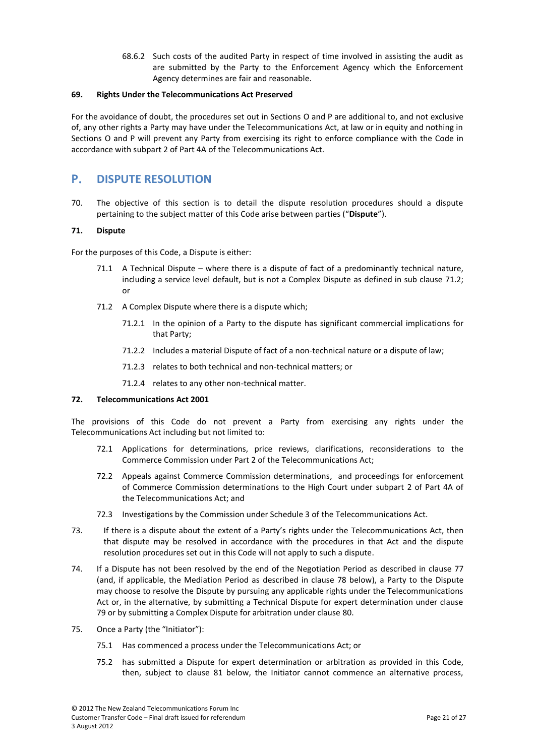68.6.2 Such costs of the audited Party in respect of time involved in assisting the audit as are submitted by the Party to the Enforcement Agency which the Enforcement Agency determines are fair and reasonable.

### <span id="page-20-0"></span>**69. Rights Under the Telecommunications Act Preserved**

<span id="page-20-1"></span>For the avoidance of doubt, the procedures set out in Sections [O](#page-18-3) an[d P](#page-20-6) are additional to, and not exclusive of, any other rights a Party may have under the Telecommunications Act, at law or in equity and nothing in Sections [O](#page-18-3) and [P](#page-20-6) will prevent any Party from exercising its right to enforce compliance with the Code in accordance with subpart 2 of Part 4A of the Telecommunications Act.

# <span id="page-20-6"></span><span id="page-20-2"></span>**P. DISPUTE RESOLUTION**

70. The objective of this section is to detail the dispute resolution procedures should a dispute pertaining to the subject matter of this Code arise between parties ("**Dispute**").

# **71. Dispute**

<span id="page-20-5"></span>For the purposes of this Code, a Dispute is either:

- 71.1 A Technical Dispute where there is a dispute of fact of a predominantly technical nature, including a service level default, but is not a Complex Dispute as defined in sub clause [71.2;](#page-20-4) or
- <span id="page-20-4"></span>71.2 A Complex Dispute where there is a dispute which;
	- 71.2.1 In the opinion of a Party to the dispute has significant commercial implications for that Party;
	- 71.2.2 Includes a material Dispute of fact of a non-technical nature or a dispute of law;
	- 71.2.3 relates to both technical and non-technical matters; or
	- 71.2.4 relates to any other non-technical matter.

#### <span id="page-20-7"></span><span id="page-20-3"></span>**72. Telecommunications Act 2001**

The provisions of this Code do not prevent a Party from exercising any rights under the Telecommunications Act including but not limited to:

- 72.1 Applications for determinations, price reviews, clarifications, reconsiderations to the Commerce Commission under Part 2 of the Telecommunications Act;
- 72.2 Appeals against Commerce Commission determinations, and proceedings for enforcement of Commerce Commission determinations to the High Court under subpart 2 of Part 4A of the Telecommunications Act; and
- 72.3 Investigations by the Commission under Schedule 3 of the Telecommunications Act.
- 73. If there is a dispute about the extent of a Party's rights under the Telecommunications Act, then that dispute may be resolved in accordance with the procedures in that Act and the dispute resolution procedures set out in this Code will not apply to such a dispute.
- 74. If a Dispute has not been resolved by the end of the Negotiation Period as described in clause [77](#page-21-3) (and, if applicable, the Mediation Period as described in clause [78](#page-21-4) below), a Party to the Dispute may choose to resolve the Dispute by pursuing any applicable rights under the Telecommunications Act or, in the alternative, by submitting a Technical Dispute for expert determination under clause [79](#page-21-5) or by submitting a Complex Dispute for arbitration under clause [80.](#page-22-2)
- 75. Once a Party (the "Initiator"):
	- 75.1 Has commenced a process under the Telecommunications Act; or
	- 75.2 has submitted a Dispute for expert determination or arbitration as provided in this Code, then, subject to clause [81](#page-22-3) below, the Initiator cannot commence an alternative process,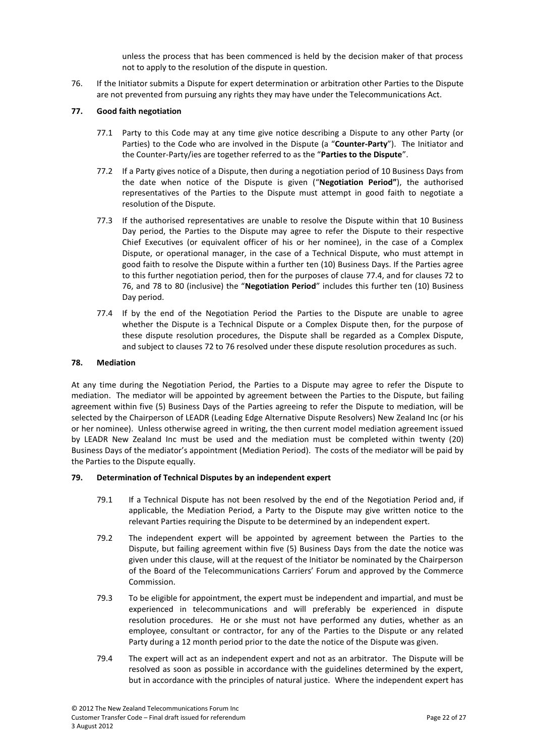unless the process that has been commenced is held by the decision maker of that process not to apply to the resolution of the dispute in question.

<span id="page-21-6"></span><span id="page-21-0"></span>76. If the Initiator submits a Dispute for expert determination or arbitration other Parties to the Dispute are not prevented from pursuing any rights they may have under the Telecommunications Act.

## <span id="page-21-3"></span>**77. Good faith negotiation**

- 77.1 Party to this Code may at any time give notice describing a Dispute to any other Party (or Parties) to the Code who are involved in the Dispute (a "**Counter-Party**"). The Initiator and the Counter-Party/ies are together referred to as the "**Parties to the Dispute**".
- 77.2 If a Party gives notice of a Dispute, then during a negotiation period of 10 Business Days from the date when notice of the Dispute is given ("**Negotiation Period"**), the authorised representatives of the Parties to the Dispute must attempt in good faith to negotiate a resolution of the Dispute.
- 77.3 If the authorised representatives are unable to resolve the Dispute within that 10 Business Day period, the Parties to the Dispute may agree to refer the Dispute to their respective Chief Executives (or equivalent officer of his or her nominee), in the case of a Complex Dispute, or operational manager, in the case of a Technical Dispute, who must attempt in good faith to resolve the Dispute within a further ten (10) Business Days. If the Parties agree to this further negotiation period, then for the purposes of clause [77.](#page-21-3)4, and for clause[s 72](#page-20-7) to [76,](#page-21-6) and [78](#page-21-4) to [80](#page-22-2) (inclusive) the "**Negotiation Period**" includes this further ten (10) Business Day period.
- <span id="page-21-1"></span>77.4 If by the end of the Negotiation Period the Parties to the Dispute are unable to agree whether the Dispute is a Technical Dispute or a Complex Dispute then, for the purpose of these dispute resolution procedures, the Dispute shall be regarded as a Complex Dispute, and subject to clauses [72](#page-20-7) to [76](#page-21-6) resolved under these dispute resolution procedures as such.

#### <span id="page-21-4"></span>**78. Mediation**

<span id="page-21-2"></span>At any time during the Negotiation Period, the Parties to a Dispute may agree to refer the Dispute to mediation. The mediator will be appointed by agreement between the Parties to the Dispute, but failing agreement within five (5) Business Days of the Parties agreeing to refer the Dispute to mediation, will be selected by the Chairperson of LEADR (Leading Edge Alternative Dispute Resolvers) New Zealand Inc (or his or her nominee). Unless otherwise agreed in writing, the then current model mediation agreement issued by LEADR New Zealand Inc must be used and the mediation must be completed within twenty (20) Business Days of the mediator's appointment (Mediation Period). The costs of the mediator will be paid by the Parties to the Dispute equally.

#### <span id="page-21-5"></span>**79. Determination of Technical Disputes by an independent expert**

- 79.1 If a Technical Dispute has not been resolved by the end of the Negotiation Period and, if applicable, the Mediation Period, a Party to the Dispute may give written notice to the relevant Parties requiring the Dispute to be determined by an independent expert.
- 79.2 The independent expert will be appointed by agreement between the Parties to the Dispute, but failing agreement within five (5) Business Days from the date the notice was given under this clause, will at the request of the Initiator be nominated by the Chairperson of the Board of the Telecommunications Carriers' Forum and approved by the Commerce Commission.
- 79.3 To be eligible for appointment, the expert must be independent and impartial, and must be experienced in telecommunications and will preferably be experienced in dispute resolution procedures. He or she must not have performed any duties, whether as an employee, consultant or contractor, for any of the Parties to the Dispute or any related Party during a 12 month period prior to the date the notice of the Dispute was given.
- 79.4 The expert will act as an independent expert and not as an arbitrator. The Dispute will be resolved as soon as possible in accordance with the guidelines determined by the expert, but in accordance with the principles of natural justice. Where the independent expert has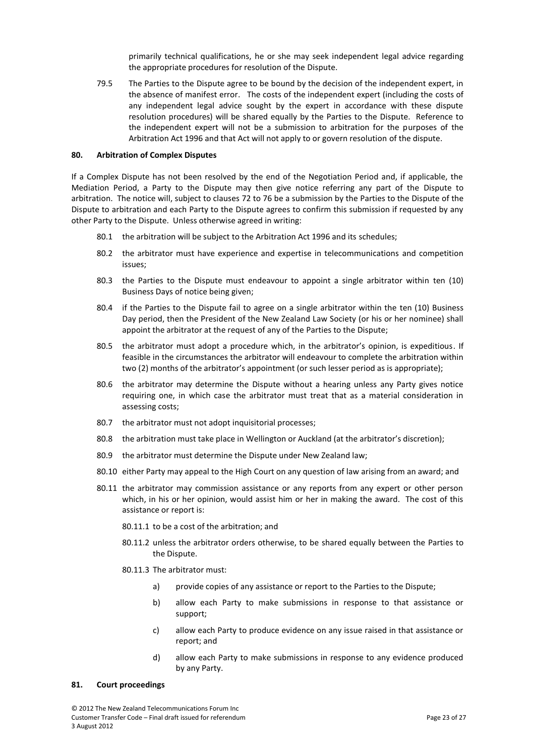primarily technical qualifications, he or she may seek independent legal advice regarding the appropriate procedures for resolution of the Dispute.

<span id="page-22-0"></span>79.5 The Parties to the Dispute agree to be bound by the decision of the independent expert, in the absence of manifest error. The costs of the independent expert (including the costs of any independent legal advice sought by the expert in accordance with these dispute resolution procedures) will be shared equally by the Parties to the Dispute. Reference to the independent expert will not be a submission to arbitration for the purposes of the Arbitration Act 1996 and that Act will not apply to or govern resolution of the dispute.

#### <span id="page-22-2"></span>**80. Arbitration of Complex Disputes**

If a Complex Dispute has not been resolved by the end of the Negotiation Period and, if applicable, the Mediation Period, a Party to the Dispute may then give notice referring any part of the Dispute to arbitration. The notice will, subject to clauses [72](#page-20-7) t[o 76](#page-21-6) be a submission by the Parties to the Dispute of the Dispute to arbitration and each Party to the Dispute agrees to confirm this submission if requested by any other Party to the Dispute. Unless otherwise agreed in writing:

- 80.1 the arbitration will be subject to the Arbitration Act 1996 and its schedules;
- 80.2 the arbitrator must have experience and expertise in telecommunications and competition issues;
- 80.3 the Parties to the Dispute must endeavour to appoint a single arbitrator within ten (10) Business Days of notice being given;
- 80.4 if the Parties to the Dispute fail to agree on a single arbitrator within the ten (10) Business Day period, then the President of the New Zealand Law Society (or his or her nominee) shall appoint the arbitrator at the request of any of the Parties to the Dispute;
- 80.5 the arbitrator must adopt a procedure which, in the arbitrator's opinion, is expeditious. If feasible in the circumstances the arbitrator will endeavour to complete the arbitration within two (2) months of the arbitrator's appointment (or such lesser period as is appropriate);
- 80.6 the arbitrator may determine the Dispute without a hearing unless any Party gives notice requiring one, in which case the arbitrator must treat that as a material consideration in assessing costs;
- 80.7 the arbitrator must not adopt inquisitorial processes;
- 80.8 the arbitration must take place in Wellington or Auckland (at the arbitrator's discretion);
- 80.9 the arbitrator must determine the Dispute under New Zealand law;
- 80.10 either Party may appeal to the High Court on any question of law arising from an award; and
- 80.11 the arbitrator may commission assistance or any reports from any expert or other person which, in his or her opinion, would assist him or her in making the award. The cost of this assistance or report is:
	- 80.11.1 to be a cost of the arbitration; and
	- 80.11.2 unless the arbitrator orders otherwise, to be shared equally between the Parties to the Dispute.
	- 80.11.3 The arbitrator must:
		- a) provide copies of any assistance or report to the Parties to the Dispute;
		- b) allow each Party to make submissions in response to that assistance or support;
		- c) allow each Party to produce evidence on any issue raised in that assistance or report; and
		- d) allow each Party to make submissions in response to any evidence produced by any Party.

#### <span id="page-22-3"></span><span id="page-22-1"></span>**81. Court proceedings**

© 2012 The New Zealand Telecommunications Forum Inc Customer Transfer Code – Final draft issued for referendum Page 23 of 27 3 August 2012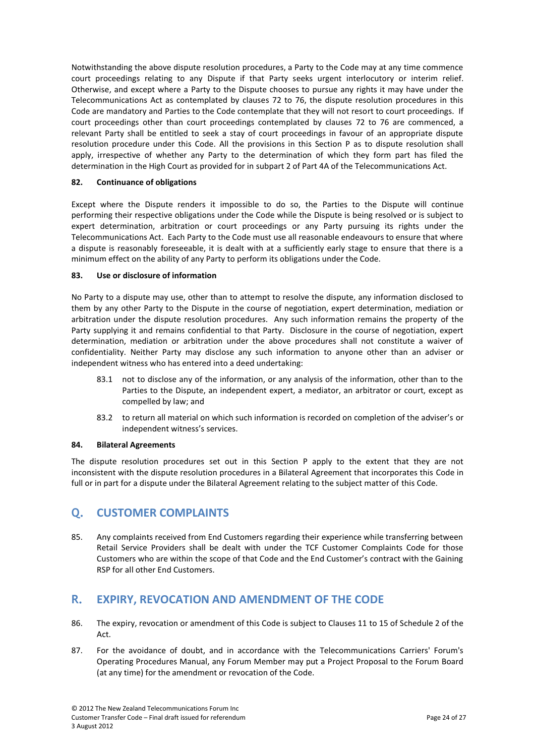Notwithstanding the above dispute resolution procedures, a Party to the Code may at any time commence court proceedings relating to any Dispute if that Party seeks urgent interlocutory or interim relief. Otherwise, and except where a Party to the Dispute chooses to pursue any rights it may have under the Telecommunications Act as contemplated by clauses [72](#page-20-7) to [76,](#page-21-6) the dispute resolution procedures in this Code are mandatory and Parties to the Code contemplate that they will not resort to court proceedings. If court proceedings other than court proceedings contemplated by clauses [72](#page-20-7) to [76](#page-21-6) are commenced, a relevant Party shall be entitled to seek a stay of court proceedings in favour of an appropriate dispute resolution procedure under this Code. All the provisions in this Section [P](#page-20-6) as to dispute resolution shall apply, irrespective of whether any Party to the determination of which they form part has filed the determination in the High Court as provided for in subpart 2 of Part 4A of the Telecommunications Act.

# <span id="page-23-0"></span>**82. Continuance of obligations**

<span id="page-23-1"></span>Except where the Dispute renders it impossible to do so, the Parties to the Dispute will continue performing their respective obligations under the Code while the Dispute is being resolved or is subject to expert determination, arbitration or court proceedings or any Party pursuing its rights under the Telecommunications Act. Each Party to the Code must use all reasonable endeavours to ensure that where a dispute is reasonably foreseeable, it is dealt with at a sufficiently early stage to ensure that there is a minimum effect on the ability of any Party to perform its obligations under the Code.

# **83. Use or disclosure of information**

No Party to a dispute may use, other than to attempt to resolve the dispute, any information disclosed to them by any other Party to the Dispute in the course of negotiation, expert determination, mediation or arbitration under the dispute resolution procedures. Any such information remains the property of the Party supplying it and remains confidential to that Party. Disclosure in the course of negotiation, expert determination, mediation or arbitration under the above procedures shall not constitute a waiver of confidentiality. Neither Party may disclose any such information to anyone other than an adviser or independent witness who has entered into a deed undertaking:

- 83.1 not to disclose any of the information, or any analysis of the information, other than to the Parties to the Dispute, an independent expert, a mediator, an arbitrator or court, except as compelled by law; and
- 83.2 to return all material on which such information is recorded on completion of the adviser's or independent witness's services.

## **84. Bilateral Agreements**

<span id="page-23-2"></span>The dispute resolution procedures set out in this Section [P](#page-20-6) apply to the extent that they are not inconsistent with the dispute resolution procedures in a Bilateral Agreement that incorporates this Code in full or in part for a dispute under the Bilateral Agreement relating to the subject matter of this Code.

# **Q. CUSTOMER COMPLAINTS**

<span id="page-23-3"></span>85. Any complaints received from End Customers regarding their experience while transferring between Retail Service Providers shall be dealt with under the TCF Customer Complaints Code for those Customers who are within the scope of that Code and the End Customer's contract with the Gaining RSP for all other End Customers.

# **R. EXPIRY, REVOCATION AND AMENDMENT OF THE CODE**

- 86. The expiry, revocation or amendment of this Code is subject to Clauses 11 to 15 of Schedule 2 of the Act.
- 87. For the avoidance of doubt, and in accordance with the Telecommunications Carriers' Forum's Operating Procedures Manual, any Forum Member may put a Project Proposal to the Forum Board (at any time) for the amendment or revocation of the Code.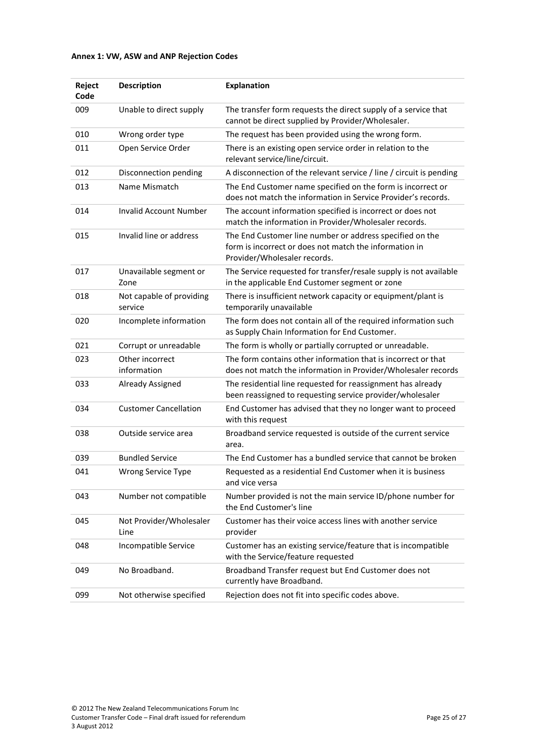# <span id="page-24-0"></span>**Annex 1: VW, ASW and ANP Rejection Codes**

| Reject<br>Code | <b>Description</b>                  | <b>Explanation</b>                                                                                                                                 |
|----------------|-------------------------------------|----------------------------------------------------------------------------------------------------------------------------------------------------|
| 009            | Unable to direct supply             | The transfer form requests the direct supply of a service that<br>cannot be direct supplied by Provider/Wholesaler.                                |
| 010            | Wrong order type                    | The request has been provided using the wrong form.                                                                                                |
| 011            | Open Service Order                  | There is an existing open service order in relation to the<br>relevant service/line/circuit.                                                       |
| 012            | Disconnection pending               | A disconnection of the relevant service / line / circuit is pending                                                                                |
| 013            | Name Mismatch                       | The End Customer name specified on the form is incorrect or<br>does not match the information in Service Provider's records.                       |
| 014            | <b>Invalid Account Number</b>       | The account information specified is incorrect or does not<br>match the information in Provider/Wholesaler records.                                |
| 015            | Invalid line or address             | The End Customer line number or address specified on the<br>form is incorrect or does not match the information in<br>Provider/Wholesaler records. |
| 017            | Unavailable segment or<br>Zone      | The Service requested for transfer/resale supply is not available<br>in the applicable End Customer segment or zone                                |
| 018            | Not capable of providing<br>service | There is insufficient network capacity or equipment/plant is<br>temporarily unavailable                                                            |
| 020            | Incomplete information              | The form does not contain all of the required information such<br>as Supply Chain Information for End Customer.                                    |
| 021            | Corrupt or unreadable               | The form is wholly or partially corrupted or unreadable.                                                                                           |
| 023            | Other incorrect<br>information      | The form contains other information that is incorrect or that<br>does not match the information in Provider/Wholesaler records                     |
| 033            | Already Assigned                    | The residential line requested for reassignment has already<br>been reassigned to requesting service provider/wholesaler                           |
| 034            | <b>Customer Cancellation</b>        | End Customer has advised that they no longer want to proceed<br>with this request                                                                  |
| 038            | Outside service area                | Broadband service requested is outside of the current service<br>area.                                                                             |
| 039            | <b>Bundled Service</b>              | The End Customer has a bundled service that cannot be broken                                                                                       |
| 041            | Wrong Service Type                  | Requested as a residential End Customer when it is business<br>and vice versa                                                                      |
| 043            | Number not compatible               | Number provided is not the main service ID/phone number for<br>the End Customer's line                                                             |
| 045            | Not Provider/Wholesaler<br>Line     | Customer has their voice access lines with another service<br>provider                                                                             |
| 048            | Incompatible Service                | Customer has an existing service/feature that is incompatible<br>with the Service/feature requested                                                |
| 049            | No Broadband.                       | Broadband Transfer request but End Customer does not<br>currently have Broadband.                                                                  |
| 099            | Not otherwise specified             | Rejection does not fit into specific codes above.                                                                                                  |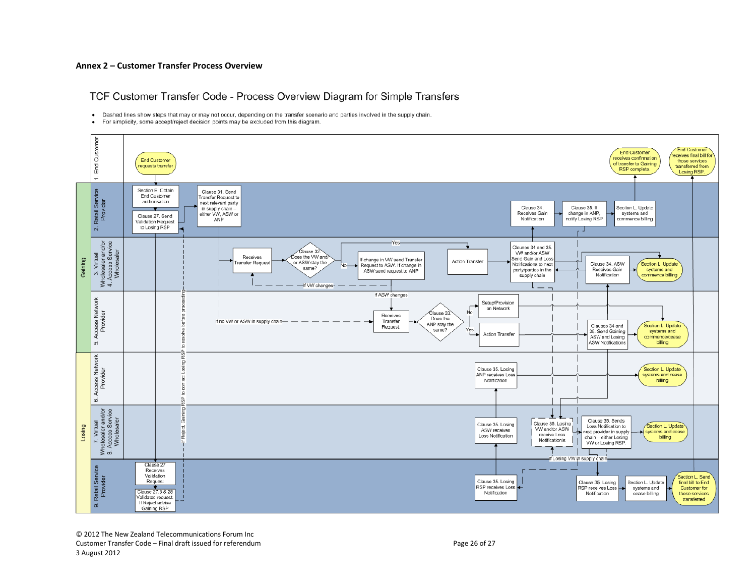#### **Annex 2 – Customer Transfer Process Overview**

TCF Customer Transfer Code - Process Overview Diagram for Simple Transfers

. Dashed lines show steps that may or may not occur, depending on the transfer scenario and parties involved in the supply chain.

· For simplicity, some accept/reject decision points may be excluded from this diagram.

<span id="page-25-0"></span>